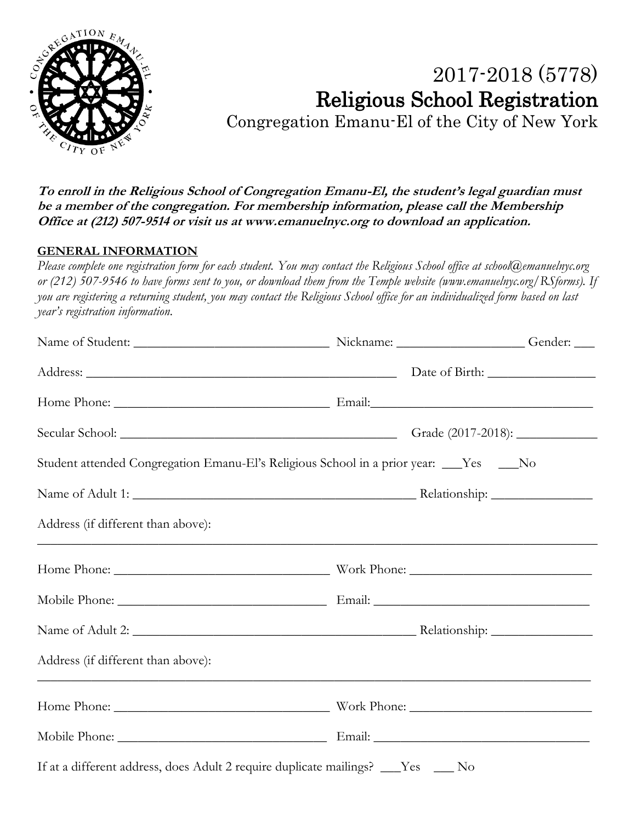

# 2017-2018 (5778) Religious School Registration

Congregation Emanu-El of the City of New York

**To enroll in the Religious School of Congregation Emanu-El, the student's legal guardian must be a member of the congregation. For membership information, please call the Membership Office at (212) 507-9514 or visit us a[t www.emanuelnyc.org](http://www.emanuelnyc.org/) to download an application.**

## **GENERAL INFORMATION**

*Please complete one registration form for each student. You may contact the Religious School office at school@emanuelnyc.org or (212) 507-9546 to have forms sent to you, or download them from the Temple website (www.emanuelnyc.org/RSforms). If you are registering a returning student, you may contact the Religious School office for an individualized form based on last year's registration information.*

|                                    | Student attended Congregation Emanu-El's Religious School in a prior year: ___Yes ___No |  |  |
|------------------------------------|-----------------------------------------------------------------------------------------|--|--|
|                                    |                                                                                         |  |  |
| Address (if different than above): |                                                                                         |  |  |
|                                    |                                                                                         |  |  |
|                                    |                                                                                         |  |  |
|                                    |                                                                                         |  |  |
| Address (if different than above): |                                                                                         |  |  |
|                                    |                                                                                         |  |  |
|                                    |                                                                                         |  |  |
|                                    | If at a different address, does Adult 2 require duplicate mailings? ___Yes ___No        |  |  |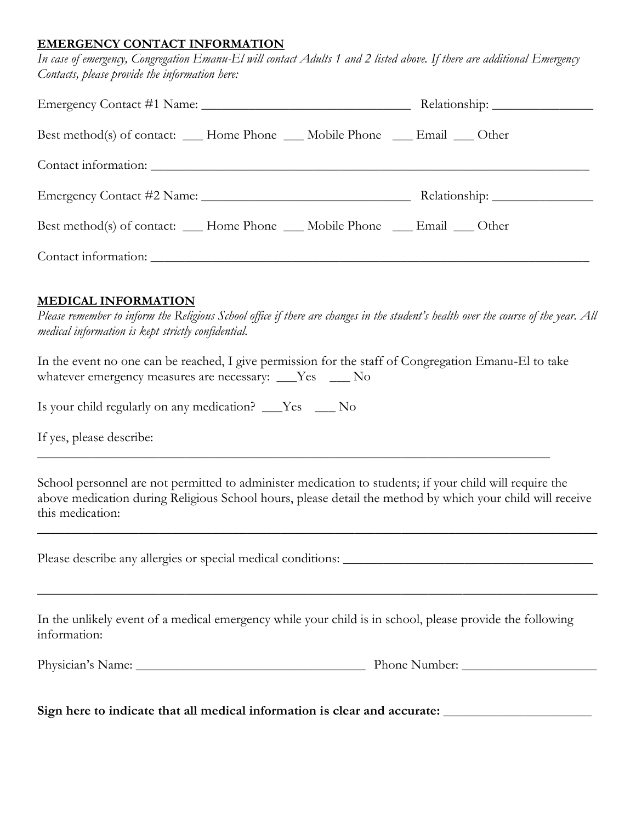#### **EMERGENCY CONTACT INFORMATION**

*In case of emergency, Congregation Emanu-El will contact Adults 1 and 2 listed above. If there are additional Emergency Contacts, please provide the information here:*

| Best method(s) of contact: ___ Home Phone ___ Mobile Phone ___ Email ___ Other |
|--------------------------------------------------------------------------------|
|                                                                                |
|                                                                                |
| Best method(s) of contact: ___ Home Phone ___ Mobile Phone ___ Email ___ Other |
|                                                                                |
|                                                                                |

### **MEDICAL INFORMATION**

*Please remember to inform the Religious School office if there are changes in the student's health over the course of the year. All medical information is kept strictly confidential.*

In the event no one can be reached, I give permission for the staff of Congregation Emanu-El to take whatever emergency measures are necessary: \_\_\_Yes \_\_\_ No

\_\_\_\_\_\_\_\_\_\_\_\_\_\_\_\_\_\_\_\_\_\_\_\_\_\_\_\_\_\_\_\_\_\_\_\_\_\_\_\_\_\_\_\_\_\_\_\_\_\_\_\_\_\_\_\_\_\_\_\_\_\_\_\_\_\_\_\_\_\_\_\_\_\_\_\_

Is your child regularly on any medication? \_\_\_Yes \_\_\_ No

If yes, please describe:

School personnel are not permitted to administer medication to students; if your child will require the above medication during Religious School hours, please detail the method by which your child will receive this medication:

\_\_\_\_\_\_\_\_\_\_\_\_\_\_\_\_\_\_\_\_\_\_\_\_\_\_\_\_\_\_\_\_\_\_\_\_\_\_\_\_\_\_\_\_\_\_\_\_\_\_\_\_\_\_\_\_\_\_\_\_\_\_\_\_\_\_\_\_\_\_\_\_\_\_\_\_\_\_\_\_\_\_\_

\_\_\_\_\_\_\_\_\_\_\_\_\_\_\_\_\_\_\_\_\_\_\_\_\_\_\_\_\_\_\_\_\_\_\_\_\_\_\_\_\_\_\_\_\_\_\_\_\_\_\_\_\_\_\_\_\_\_\_\_\_\_\_\_\_\_\_\_\_\_\_\_\_\_\_\_\_\_\_\_\_\_\_

Please describe any allergies or special medical conditions: \_\_\_\_\_\_\_\_\_\_\_\_\_\_\_\_\_\_\_\_\_\_\_\_\_\_\_\_\_\_\_\_\_\_\_\_\_

In the unlikely event of a medical emergency while your child is in school, please provide the following information:

| Physician<br>Name:<br>.<br>the contract of the contract of the contract of | Number:<br>'none<br>_____ |  |
|----------------------------------------------------------------------------|---------------------------|--|
|                                                                            |                           |  |

**Sign here to indicate that all medical information is clear and accurate:** \_\_\_\_\_\_\_\_\_\_\_\_\_\_\_\_\_\_\_\_\_\_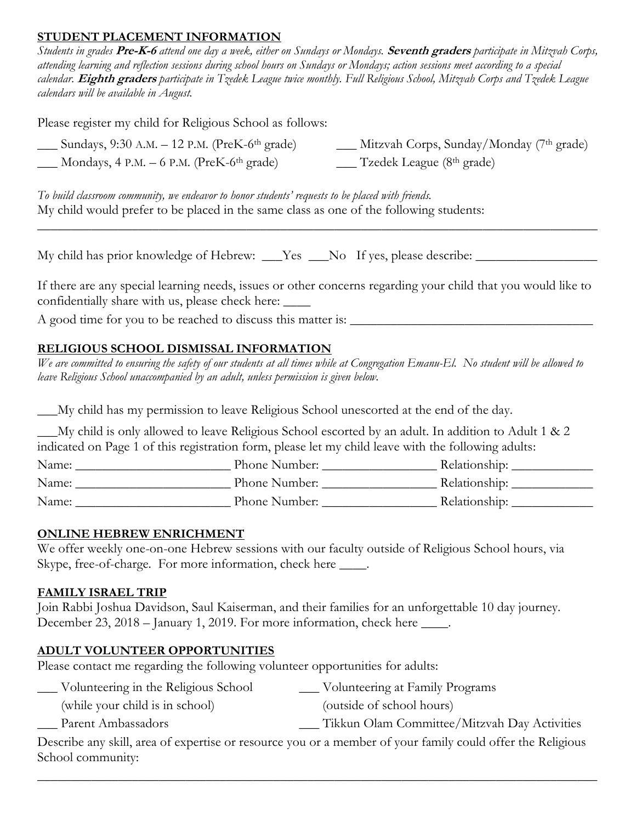## **STUDENT PLACEMENT INFORMATION**

*Students in grades* **Pre-K-6** *attend one day a week, either on Sundays or Mondays.* **Seventh graders** *participate in Mitzvah Corps, attending learning and reflection sessions during school hours on Sundays or Mondays; action sessions meet according to a special calendar.* **Eighth graders** *participate in Tzedek League twice monthly. Full Religious School, Mitzvah Corps and Tzedek League calendars will be available in August.*

Please register my child for Religious School as follows:

| $\frac{1}{2}$ Sundays, 9:30 A.M. – 12 P.M. (PreK-6 <sup>th</sup> grade) | Mitzvah Corps, Sunday/Monday (7 <sup>th</sup> grade)       |
|-------------------------------------------------------------------------|------------------------------------------------------------|
| $\_\_\_\$ Mondays, 4 P.M. – 6 P.M. (PreK-6 <sup>th</sup> grade)         | $\frac{1}{\sqrt{2}}$ Tzedek League (8 <sup>th</sup> grade) |

*To build classroom community, we endeavor to honor students' requests to be placed with friends.* My child would prefer to be placed in the same class as one of the following students: \_\_\_\_\_\_\_\_\_\_\_\_\_\_\_\_\_\_\_\_\_\_\_\_\_\_\_\_\_\_\_\_\_\_\_\_\_\_\_\_\_\_\_\_\_\_\_\_\_\_\_\_\_\_\_\_\_\_\_\_\_\_\_\_\_\_\_\_\_\_\_\_\_\_\_\_\_\_\_\_\_\_\_

My child has prior knowledge of Hebrew: \_\_\_Yes \_\_\_No If yes, please describe: \_\_\_\_\_\_\_\_\_\_\_\_\_\_\_\_\_\_\_\_\_\_\_\_\_\_\_\_\_\_\_\_

If there are any special learning needs, issues or other concerns regarding your child that you would like to confidentially share with us, please check here: \_\_\_\_

A good time for you to be reached to discuss this matter is: \_\_\_\_\_\_\_\_\_\_\_\_\_\_\_\_\_\_\_\_\_\_\_\_\_\_\_\_\_\_\_\_\_\_\_\_

# **RELIGIOUS SCHOOL DISMISSAL INFORMATION**

*We are committed to ensuring the safety of our students at all times while at Congregation Emanu-El. No student will be allowed to leave Religious School unaccompanied by an adult, unless permission is given below.*

\_\_\_My child has my permission to leave Religious School unescorted at the end of the day.

\_\_\_My child is only allowed to leave Religious School escorted by an adult. In addition to Adult 1 & 2 indicated on Page 1 of this registration form, please let my child leave with the following adults:

| Name: | Phone Number: | Relationship: |
|-------|---------------|---------------|
| Name: | Phone Number: | Relationship: |
| Name: | Phone Number: | Relationship: |

### **ONLINE HEBREW ENRICHMENT**

We offer weekly one-on-one Hebrew sessions with our faculty outside of Religious School hours, via Skype, free-of-charge. For more information, check here \_\_\_\_.

### **FAMILY ISRAEL TRIP**

Join Rabbi Joshua Davidson, Saul Kaiserman, and their families for an unforgettable 10 day journey. December 23, 2018 – January 1, 2019. For more information, check here \_\_\_\_.

### **ADULT VOLUNTEER OPPORTUNITIES**

Please contact me regarding the following volunteer opportunities for adults:

- \_\_\_ Volunteering in the Religious School \_\_\_ Volunteering at Family Programs
	- (while your child is in school) (outside of school hours)
	- \_\_\_ Parent Ambassadors \_\_\_ Tikkun Olam Committee/Mitzvah Day Activities

Describe any skill, area of expertise or resource you or a member of your family could offer the Religious School community:

\_\_\_\_\_\_\_\_\_\_\_\_\_\_\_\_\_\_\_\_\_\_\_\_\_\_\_\_\_\_\_\_\_\_\_\_\_\_\_\_\_\_\_\_\_\_\_\_\_\_\_\_\_\_\_\_\_\_\_\_\_\_\_\_\_\_\_\_\_\_\_\_\_\_\_\_\_\_\_\_\_\_\_